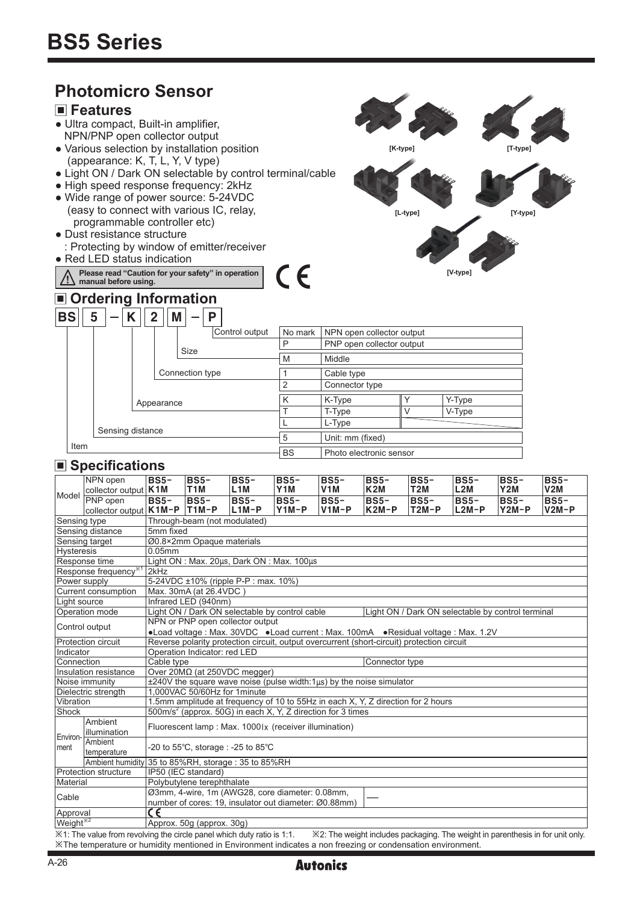#### **Photomicro Sensor Features** ● Ultra compact, Built-in amplifier, NPN/PNP open collector output ● Various selection by installation position **[K-type] [T-type]** (appearance: K, T, L, Y, V type) ● Light ON / Dark ON selectable by control terminal/cable • High speed response frequency: 2kHz ● Wide range of power source: 5-24VDC (easy to connect with various IC, relay, **[L-type] [Y-type]** programmable controller etc) ● Dust resistance structure : Protecting by window of emitter/receiver ● Red LED status indication  $\epsilon$ **[V-type] Please read "Caution for your safety" in operation manual before using. Ordering Information**  $|B\,S\,| = |K\,||\,2\,||M\,| = |P\,|$ Control output No mark NPN open collector output PNP open collector output Size M Middle Connection type 1 Cable type<br>2 Connector Connector type K K-Type Y Y-Type<br>
T T-Type V V-Type Appearance T T-Type V V-Type L-Type Sensing distance 5 Unit: mm (fixed) Item BS Photo electronic sensor

#### ■ Specifications

| Model                           | NPN open                                                                                                                                                     | $BS5-$                                                                                              | $BS5-$           | $BS5-$  | $BS5-$           | $BS5-$           | $BS5-$           | $BS5-$  | $BS5-$  | $BS5-$  | $BS5-$  |  |
|---------------------------------|--------------------------------------------------------------------------------------------------------------------------------------------------------------|-----------------------------------------------------------------------------------------------------|------------------|---------|------------------|------------------|------------------|---------|---------|---------|---------|--|
|                                 | collector output   K1M                                                                                                                                       |                                                                                                     | T <sub>1</sub> M | L1M     | Y <sub>1</sub> M | V <sub>1</sub> M | K <sub>2</sub> M | T2M     | L2M     | Y2M     | V2M     |  |
|                                 | <b>PNP</b> open                                                                                                                                              | $BS5-$                                                                                              | $BS5-$           | $BS5-$  | $BS5-$           | $BS5-$           | $BS5-$           | $BS5-$  | $BS5-$  | $BS5-$  | $BS5-$  |  |
|                                 | collector output   K1M-P   T1M-P                                                                                                                             |                                                                                                     |                  | $L1M-P$ | $Y1M-P$          | $V1M-P$          | $K2M-P$          | $T2M-P$ | $L2M-P$ | $Y2M-P$ | $V2M-P$ |  |
| Sensing type                    |                                                                                                                                                              | Through-beam (not modulated)                                                                        |                  |         |                  |                  |                  |         |         |         |         |  |
| Sensing distance                |                                                                                                                                                              | 5mm fixed                                                                                           |                  |         |                  |                  |                  |         |         |         |         |  |
| Sensing target                  |                                                                                                                                                              | Ø0.8×2mm Opaque materials                                                                           |                  |         |                  |                  |                  |         |         |         |         |  |
| <b>Hysteresis</b>               |                                                                                                                                                              | $0.05$ mm                                                                                           |                  |         |                  |                  |                  |         |         |         |         |  |
| Response time                   |                                                                                                                                                              | Light ON: Max. 20us, Dark ON: Max. 100us                                                            |                  |         |                  |                  |                  |         |         |         |         |  |
| Response frequency <sup>*</sup> |                                                                                                                                                              | 2kHz                                                                                                |                  |         |                  |                  |                  |         |         |         |         |  |
| Power supply                    |                                                                                                                                                              | 5-24VDC ±10% (ripple P-P : max. 10%)                                                                |                  |         |                  |                  |                  |         |         |         |         |  |
| Current consumption             |                                                                                                                                                              | Max. 30mA (at 26.4VDC)                                                                              |                  |         |                  |                  |                  |         |         |         |         |  |
| Liaht source                    |                                                                                                                                                              | Infrared LED (940nm)                                                                                |                  |         |                  |                  |                  |         |         |         |         |  |
| Operation mode                  |                                                                                                                                                              | Light ON / Dark ON selectable by control cable<br>Light ON / Dark ON selectable by control terminal |                  |         |                  |                  |                  |         |         |         |         |  |
| Control output                  |                                                                                                                                                              | NPN or PNP open collector output                                                                    |                  |         |                  |                  |                  |         |         |         |         |  |
|                                 |                                                                                                                                                              | ·Load voltage : Max. 30VDC ·Load current : Max. 100mA ·Residual voltage : Max. 1.2V                 |                  |         |                  |                  |                  |         |         |         |         |  |
| Protection circuit              |                                                                                                                                                              | Reverse polarity protection circuit, output overcurrent (short-circuit) protection circuit          |                  |         |                  |                  |                  |         |         |         |         |  |
| Indicator                       |                                                                                                                                                              | Operation Indicator: red LED                                                                        |                  |         |                  |                  |                  |         |         |         |         |  |
| Connection                      |                                                                                                                                                              | Cable type<br>Connector type                                                                        |                  |         |                  |                  |                  |         |         |         |         |  |
| Insulation resistance           |                                                                                                                                                              | Over 20MΩ (at 250VDC megger)                                                                        |                  |         |                  |                  |                  |         |         |         |         |  |
| Noise immunity                  |                                                                                                                                                              | ±240V the square wave noise (pulse width:1µs) by the noise simulator                                |                  |         |                  |                  |                  |         |         |         |         |  |
| Dielectric strength             |                                                                                                                                                              | 1.000VAC 50/60Hz for 1minute                                                                        |                  |         |                  |                  |                  |         |         |         |         |  |
| Vibration                       |                                                                                                                                                              | 1.5mm amplitude at frequency of 10 to 55Hz in each X, Y, Z direction for 2 hours                    |                  |         |                  |                  |                  |         |         |         |         |  |
| Shock                           |                                                                                                                                                              | $500m/s2$ (approx. 50G) in each X, Y, Z direction for 3 times                                       |                  |         |                  |                  |                  |         |         |         |         |  |
|                                 | Ambient                                                                                                                                                      | Fluorescent lamp: Max. 10001x (receiver illumination)                                               |                  |         |                  |                  |                  |         |         |         |         |  |
| Environ-                        | illumination                                                                                                                                                 |                                                                                                     |                  |         |                  |                  |                  |         |         |         |         |  |
| Iment                           | Ambient                                                                                                                                                      | -20 to 55°C, storage: -25 to 85°C                                                                   |                  |         |                  |                  |                  |         |         |         |         |  |
|                                 | temperature                                                                                                                                                  |                                                                                                     |                  |         |                  |                  |                  |         |         |         |         |  |
|                                 |                                                                                                                                                              | Ambient humidity 35 to 85%RH, storage: 35 to 85%RH                                                  |                  |         |                  |                  |                  |         |         |         |         |  |
| Protection structure            |                                                                                                                                                              | IP50 (IEC standard)                                                                                 |                  |         |                  |                  |                  |         |         |         |         |  |
| Material                        |                                                                                                                                                              | Polybutylene terephthalate                                                                          |                  |         |                  |                  |                  |         |         |         |         |  |
| Cable                           |                                                                                                                                                              | Ø3mm, 4-wire, 1m (AWG28, core diameter: 0.08mm,                                                     |                  |         |                  |                  |                  |         |         |         |         |  |
|                                 |                                                                                                                                                              | number of cores: 19, insulator out diameter: Ø0.88mm)                                               |                  |         |                  |                  |                  |         |         |         |         |  |
| Approval                        |                                                                                                                                                              | $\overline{\mathsf{c}\mathsf{c}}$                                                                   |                  |         |                  |                  |                  |         |         |         |         |  |
| $Weight^{\times 2}$             |                                                                                                                                                              | Approx. 50g (approx. 30g)                                                                           |                  |         |                  |                  |                  |         |         |         |         |  |
|                                 | X1: The value from revolving the circle panel which duty ratio is 1:1.<br>$\&2$ : The weight includes packaging. The weight in parenthesis in for unit only. |                                                                                                     |                  |         |                  |                  |                  |         |         |         |         |  |

※1: The value from revolving the circle panel which duty ratio is 1:1. ※2: The weight includes packaging. The weight in parenthesis in for unit only. ※The temperature or humidity mentioned in Environment indicates a non freezing or condensation environment.

### **Autonics**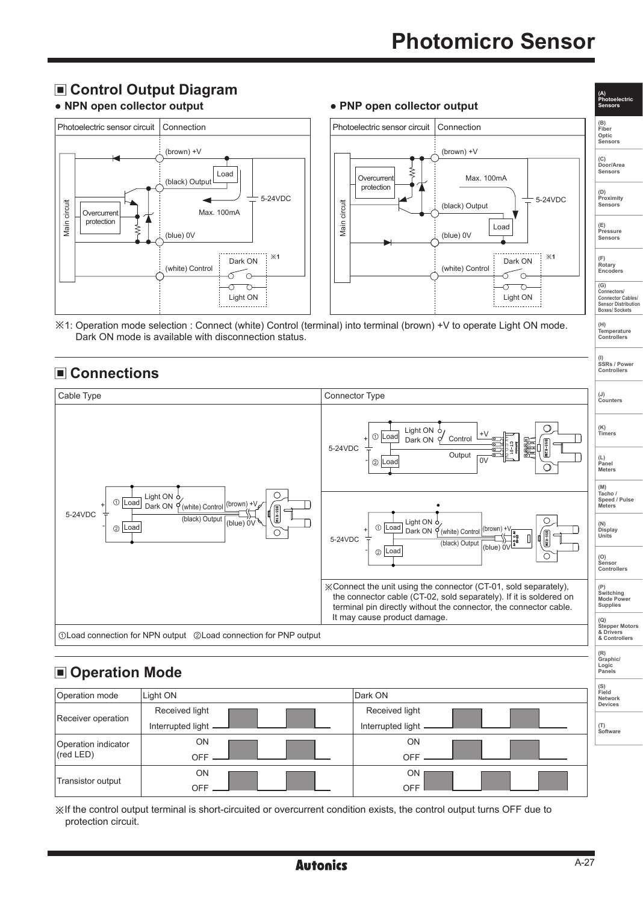**(A) Photoelectric Sensors**

**(H) Temperature Controllers**

**(I) SSRs / Power Controllers**

# **E** Control Output Diagram<br>• NPN open collector output



**● NPN open collector output ● PNP open collector output**

※1: Operation mode selection : Connect (white) Control (terminal) into terminal (brown) +V to operate Light ON mode. Dark ON mode is available with disconnection status.

### **Connections**



## $\blacksquare$  Operation Mode

| Operation mode      | Light ON          | Dark ON           |                 |  |  |
|---------------------|-------------------|-------------------|-----------------|--|--|
| Receiver operation  | Received light    | Received light    | <b>Devices</b>  |  |  |
|                     | Interrupted light | Interrupted light | (T)<br>Software |  |  |
| Operation indicator | ON                | ON                |                 |  |  |
| $ $ (red LED)       | OFF.              | OFF.              |                 |  |  |
|                     | ON                | ON.               |                 |  |  |
| Transistor output   | OFF               | OFF.              |                 |  |  |

※If the control output terminal is short-circuited or overcurrent condition exists, the control output turns OFF due to protection circuit.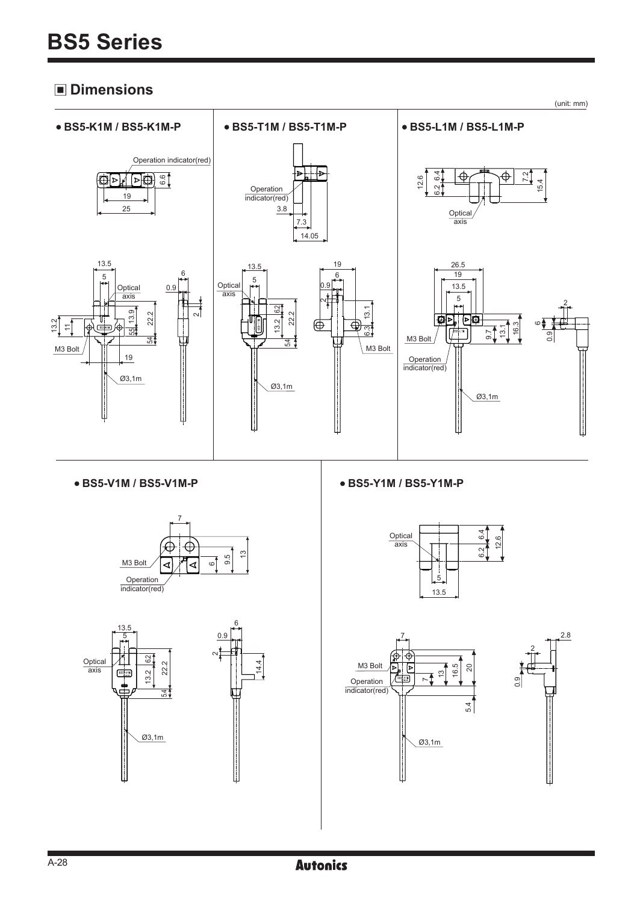**Dimensions**

(unit: mm)